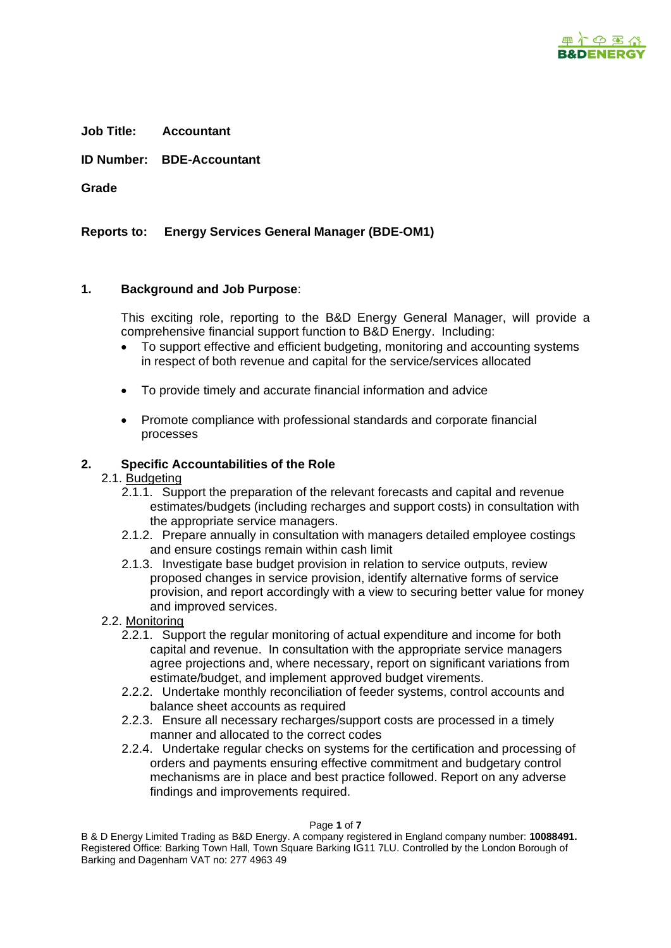

**Job Title: Accountant**

**ID Number: BDE-Accountant**

**Grade** 

**Reports to: Energy Services General Manager (BDE-OM1)**

# **1. Background and Job Purpose**:

This exciting role, reporting to the B&D Energy General Manager, will provide a comprehensive financial support function to B&D Energy. Including:

- To support effective and efficient budgeting, monitoring and accounting systems in respect of both revenue and capital for the service/services allocated
- To provide timely and accurate financial information and advice
- Promote compliance with professional standards and corporate financial processes

# **2. Specific Accountabilities of the Role**

# 2.1. Budgeting

- 2.1.1. Support the preparation of the relevant forecasts and capital and revenue estimates/budgets (including recharges and support costs) in consultation with the appropriate service managers.
- 2.1.2. Prepare annually in consultation with managers detailed employee costings and ensure costings remain within cash limit
- 2.1.3. Investigate base budget provision in relation to service outputs, review proposed changes in service provision, identify alternative forms of service provision, and report accordingly with a view to securing better value for money and improved services.
- 2.2. Monitoring
	- 2.2.1. Support the regular monitoring of actual expenditure and income for both capital and revenue. In consultation with the appropriate service managers agree projections and, where necessary, report on significant variations from estimate/budget, and implement approved budget virements.
	- 2.2.2. Undertake monthly reconciliation of feeder systems, control accounts and balance sheet accounts as required
	- 2.2.3. Ensure all necessary recharges/support costs are processed in a timely manner and allocated to the correct codes
	- 2.2.4. Undertake regular checks on systems for the certification and processing of orders and payments ensuring effective commitment and budgetary control mechanisms are in place and best practice followed. Report on any adverse findings and improvements required.

Page **1** of **7**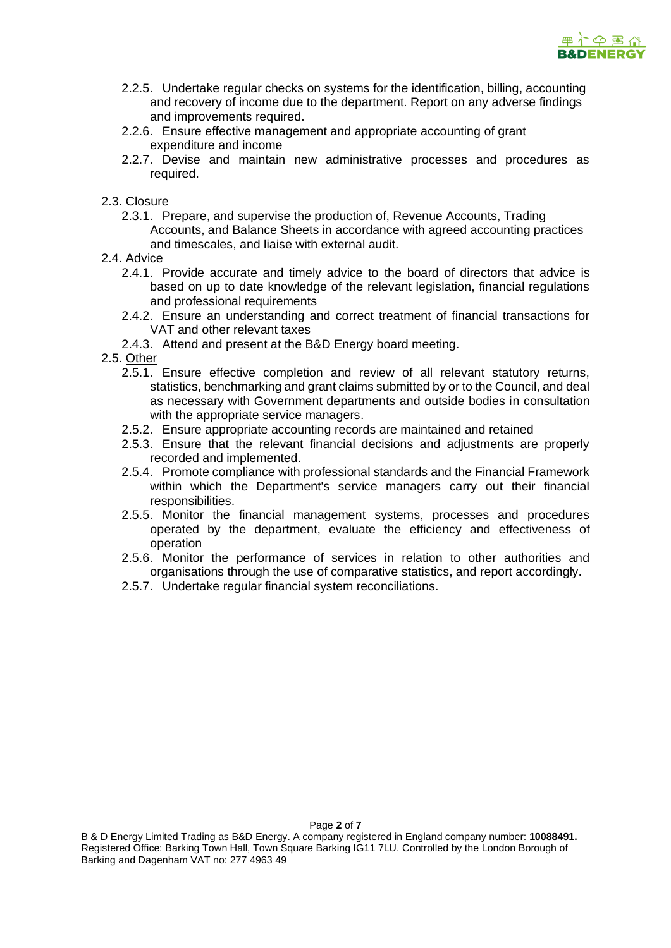

- 2.2.5. Undertake regular checks on systems for the identification, billing, accounting and recovery of income due to the department. Report on any adverse findings and improvements required.
- 2.2.6. Ensure effective management and appropriate accounting of grant expenditure and income
- 2.2.7. Devise and maintain new administrative processes and procedures as required.
- 2.3. Closure
	- 2.3.1. Prepare, and supervise the production of, Revenue Accounts, Trading Accounts, and Balance Sheets in accordance with agreed accounting practices and timescales, and liaise with external audit.
- 2.4. Advice
	- 2.4.1. Provide accurate and timely advice to the board of directors that advice is based on up to date knowledge of the relevant legislation, financial regulations and professional requirements
	- 2.4.2. Ensure an understanding and correct treatment of financial transactions for VAT and other relevant taxes
	- 2.4.3. Attend and present at the B&D Energy board meeting.
- 2.5. Other
	- 2.5.1. Ensure effective completion and review of all relevant statutory returns, statistics, benchmarking and grant claims submitted by or to the Council, and deal as necessary with Government departments and outside bodies in consultation with the appropriate service managers.
	- 2.5.2. Ensure appropriate accounting records are maintained and retained
	- 2.5.3. Ensure that the relevant financial decisions and adjustments are properly recorded and implemented.
	- 2.5.4. Promote compliance with professional standards and the Financial Framework within which the Department's service managers carry out their financial responsibilities.
	- 2.5.5. Monitor the financial management systems, processes and procedures operated by the department, evaluate the efficiency and effectiveness of operation
	- 2.5.6. Monitor the performance of services in relation to other authorities and organisations through the use of comparative statistics, and report accordingly.
	- 2.5.7. Undertake regular financial system reconciliations.

Page **2** of **7**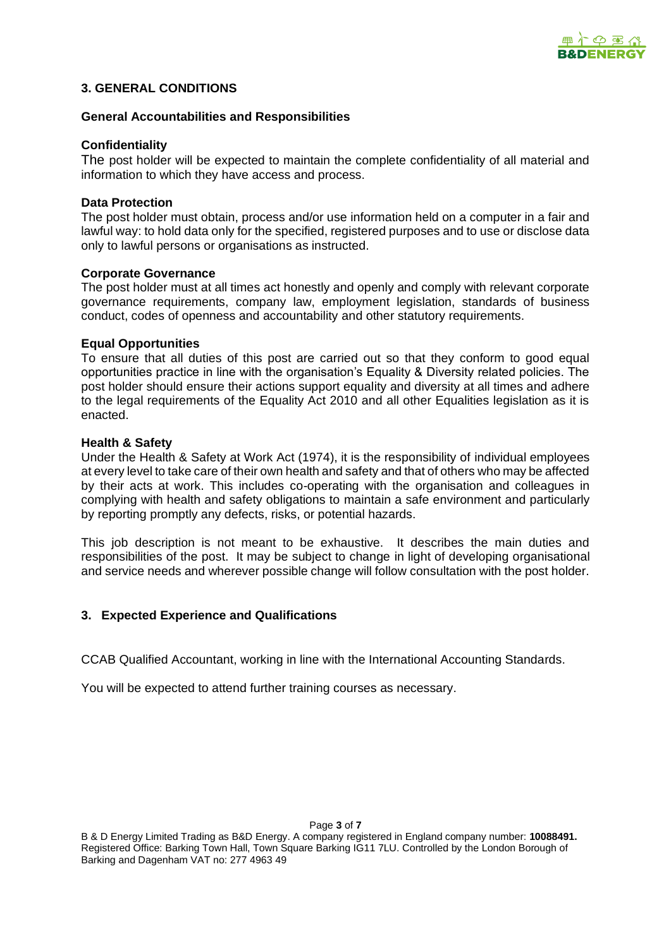

# **3. GENERAL CONDITIONS**

# **General Accountabilities and Responsibilities**

#### **Confidentiality**

The post holder will be expected to maintain the complete confidentiality of all material and information to which they have access and process.

#### **Data Protection**

The post holder must obtain, process and/or use information held on a computer in a fair and lawful way: to hold data only for the specified, registered purposes and to use or disclose data only to lawful persons or organisations as instructed.

#### **Corporate Governance**

The post holder must at all times act honestly and openly and comply with relevant corporate governance requirements, company law, employment legislation, standards of business conduct, codes of openness and accountability and other statutory requirements.

# **Equal Opportunities**

To ensure that all duties of this post are carried out so that they conform to good equal opportunities practice in line with the organisation's Equality & Diversity related policies. The post holder should ensure their actions support equality and diversity at all times and adhere to the legal requirements of the Equality Act 2010 and all other Equalities legislation as it is enacted.

#### **Health & Safety**

Under the Health & Safety at Work Act (1974), it is the responsibility of individual employees at every level to take care of their own health and safety and that of others who may be affected by their acts at work. This includes co-operating with the organisation and colleagues in complying with health and safety obligations to maintain a safe environment and particularly by reporting promptly any defects, risks, or potential hazards.

This job description is not meant to be exhaustive. It describes the main duties and responsibilities of the post. It may be subject to change in light of developing organisational and service needs and wherever possible change will follow consultation with the post holder.

# **3. Expected Experience and Qualifications**

CCAB Qualified Accountant, working in line with the International Accounting Standards.

You will be expected to attend further training courses as necessary.

Page **3** of **7**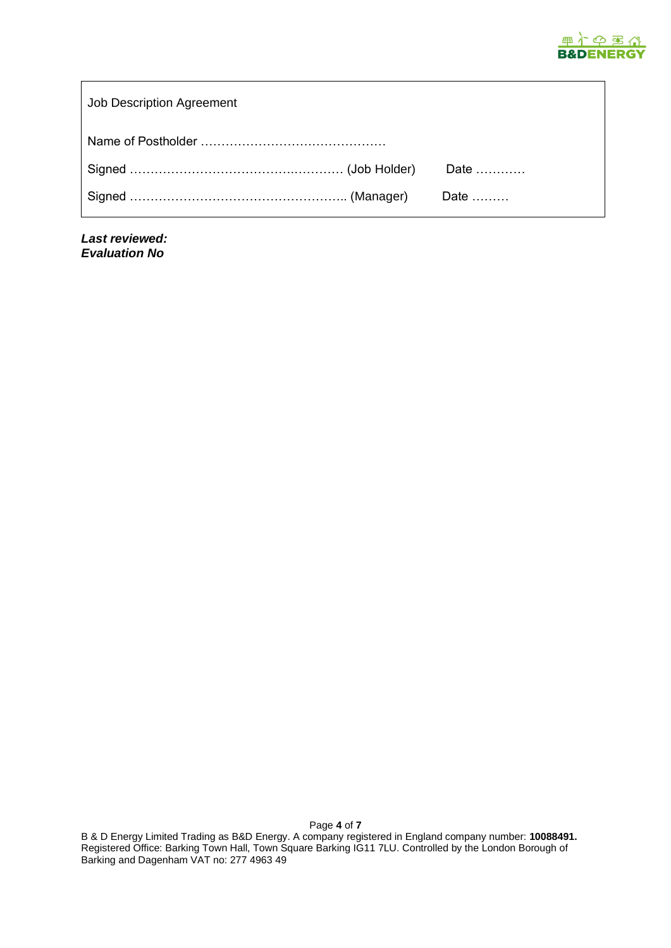

| Job Description Agreement |  |
|---------------------------|--|
|                           |  |
|                           |  |
|                           |  |

*Last reviewed: Evaluation No*

B & D Energy Limited Trading as B&D Energy. A company registered in England company number: **10088491.** Registered Office: Barking Town Hall, Town Square Barking IG11 7LU. Controlled by the London Borough of Barking and Dagenham VAT no: 277 4963 49

Page **4** of **7**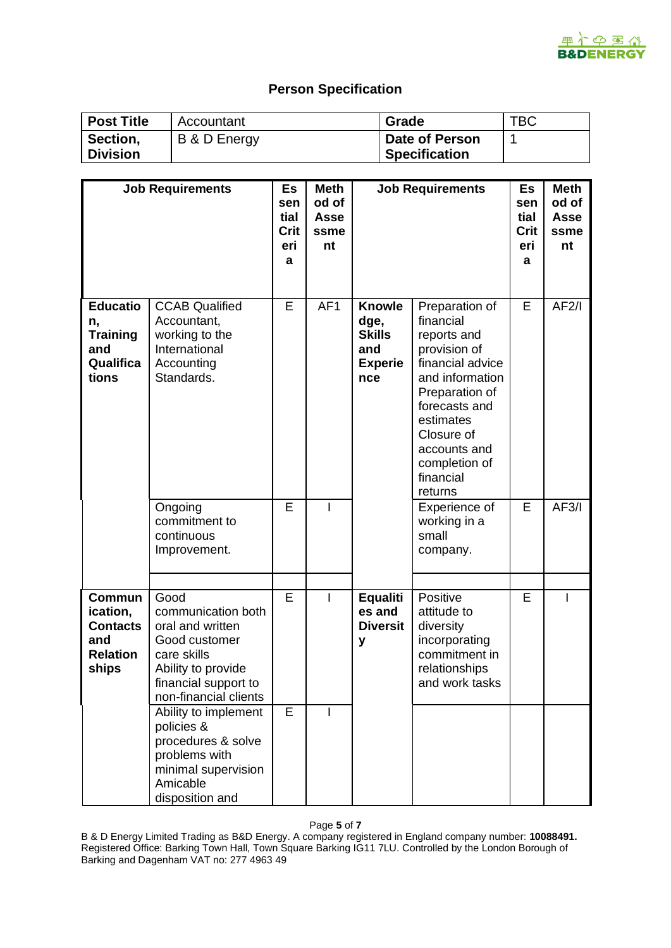# **Person Specification**

**B&DENERGY** 

| <b>Post Title</b>           | Accountant   | Grade                                  | TBC |
|-----------------------------|--------------|----------------------------------------|-----|
| Section,<br><b>Division</b> | B & D Energy | Date of Person<br><b>Specification</b> |     |

|                                                                                 | <b>Job Requirements</b>                                                                                                                               | <b>Es</b><br>sen<br>tial<br>Crit<br>eri<br>a | <b>Meth</b><br>od of<br>Asse<br>ssme<br>nt | <b>Job Requirements</b>                                                |                                                                                                                                                                                                                                           | Es<br>sen<br>tial<br>Crit<br>eri<br>a | <b>Meth</b><br>od of<br><b>Asse</b><br>ssme<br>nt |
|---------------------------------------------------------------------------------|-------------------------------------------------------------------------------------------------------------------------------------------------------|----------------------------------------------|--------------------------------------------|------------------------------------------------------------------------|-------------------------------------------------------------------------------------------------------------------------------------------------------------------------------------------------------------------------------------------|---------------------------------------|---------------------------------------------------|
| <b>Educatio</b><br>n,<br><b>Training</b><br>and<br>Qualifica<br>tions           | <b>CCAB Qualified</b><br>Accountant,<br>working to the<br>International<br>Accounting<br>Standards.<br>Ongoing                                        | E<br>E                                       | AF <sub>1</sub><br>I                       | <b>Knowle</b><br>dge,<br><b>Skills</b><br>and<br><b>Experie</b><br>nce | Preparation of<br>financial<br>reports and<br>provision of<br>financial advice<br>and information<br>Preparation of<br>forecasts and<br>estimates<br>Closure of<br>accounts and<br>completion of<br>financial<br>returns<br>Experience of | E<br>E                                | AF2/1<br>AF3/1                                    |
|                                                                                 | commitment to<br>continuous<br>Improvement.                                                                                                           |                                              |                                            |                                                                        | working in a<br>small<br>company.                                                                                                                                                                                                         |                                       |                                                   |
| <b>Commun</b><br>ication,<br><b>Contacts</b><br>and<br><b>Relation</b><br>ships | Good<br>communication both<br>oral and written<br>Good customer<br>care skills<br>Ability to provide<br>financial support to<br>non-financial clients | E                                            | T                                          | <b>Equaliti</b><br>es and<br><b>Diversit</b><br>У                      | Positive<br>attitude to<br>diversity<br>incorporating<br>commitment in<br>relationships<br>and work tasks                                                                                                                                 | E                                     | ı                                                 |
|                                                                                 | Ability to implement<br>policies &<br>procedures & solve<br>problems with<br>minimal supervision<br>Amicable<br>disposition and                       | E                                            | I                                          |                                                                        |                                                                                                                                                                                                                                           |                                       |                                                   |

Page **5** of **7**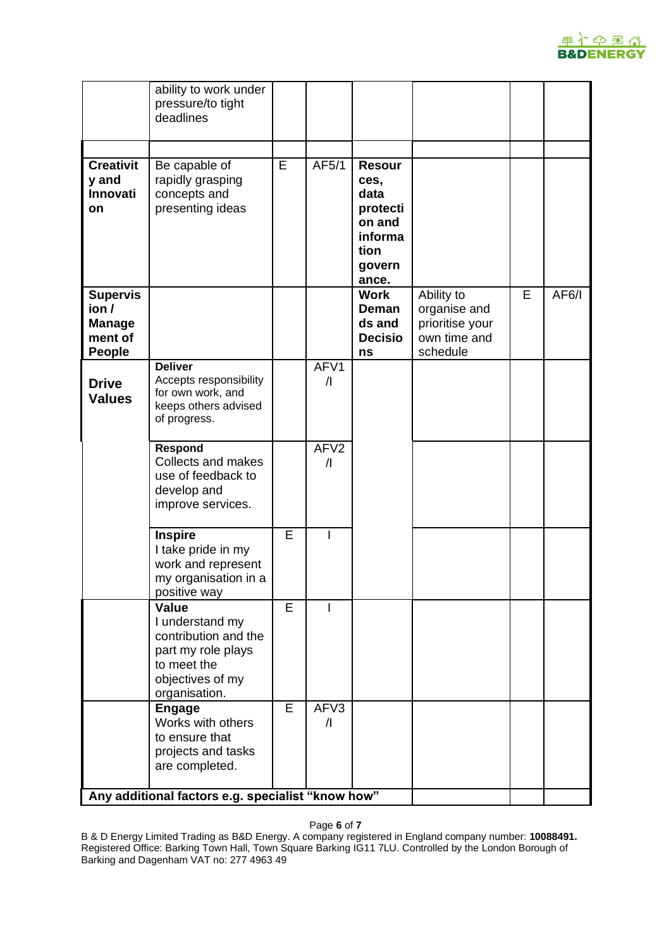

|                                                                       | ability to work under<br>pressure/to tight<br>deadlines                                                                           |   |                                |                                                                                           |                                                                           |   |       |
|-----------------------------------------------------------------------|-----------------------------------------------------------------------------------------------------------------------------------|---|--------------------------------|-------------------------------------------------------------------------------------------|---------------------------------------------------------------------------|---|-------|
|                                                                       |                                                                                                                                   |   |                                |                                                                                           |                                                                           |   |       |
| <b>Creativit</b><br>y and<br>Innovati<br>on                           | Be capable of<br>rapidly grasping<br>concepts and<br>presenting ideas                                                             | E | AF5/1                          | <b>Resour</b><br>ces,<br>data<br>protecti<br>on and<br>informa<br>tion<br>govern<br>ance. |                                                                           |   |       |
| <b>Supervis</b><br>ion /<br><b>Manage</b><br>ment of<br><b>People</b> |                                                                                                                                   |   |                                | <b>Work</b><br>Deman<br>ds and<br><b>Decisio</b><br>ns                                    | Ability to<br>organise and<br>prioritise your<br>own time and<br>schedule | E | AF6/I |
| <b>Drive</b><br><b>Values</b>                                         | <b>Deliver</b><br>Accepts responsibility<br>for own work, and<br>keeps others advised<br>of progress.                             |   | AFV1<br>$\sqrt{ }$             |                                                                                           |                                                                           |   |       |
|                                                                       | Respond<br><b>Collects and makes</b><br>use of feedback to<br>develop and<br>improve services.                                    |   | AFV <sub>2</sub><br>$\sqrt{ }$ |                                                                                           |                                                                           |   |       |
|                                                                       | <b>Inspire</b><br>I take pride in my<br>work and represent<br>my organisation in a<br>positive way                                | E | L                              |                                                                                           |                                                                           |   |       |
|                                                                       | <b>Value</b><br>I understand my<br>contribution and the<br>part my role plays<br>to meet the<br>objectives of my<br>organisation. | E |                                |                                                                                           |                                                                           |   |       |
|                                                                       | <b>Engage</b><br>Works with others<br>to ensure that<br>projects and tasks<br>are completed.                                      | E | AFV3<br>$\sqrt{ }$             |                                                                                           |                                                                           |   |       |
| Any additional factors e.g. specialist "know how"                     |                                                                                                                                   |   |                                |                                                                                           |                                                                           |   |       |

Page **6** of **7**